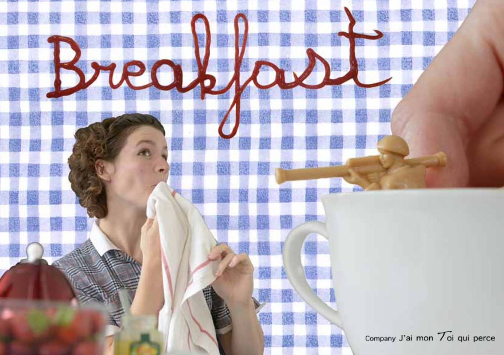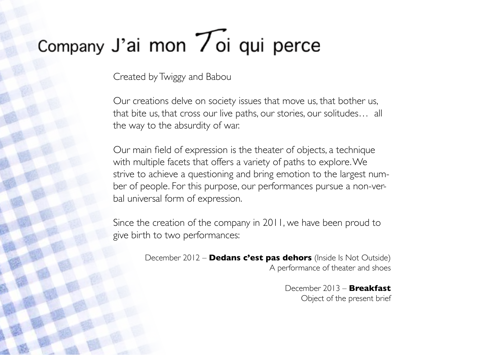## Company J'ai mon Toi qui perce

Created by Twiggy and Babou

Our creations delve on society issues that move us, that bother us, that bite us, that cross our live paths, our stories, our solitudes… all the way to the absurdity of war.

Our main field of expression is the theater of objects, a technique with multiple facets that offers a variety of paths to explore. We strive to achieve a questioning and bring emotion to the largest number of people. For this purpose, our performances pursue a non-verbal universal form of expression.

Since the creation of the company in 2011, we have been proud to give birth to two performances:

> December 2012 – **Dedans c'est pas dehors** (Inside Is Not Outside) A performance of theater and shoes

> > December 2013 – **Breakfast**  Object of the present brief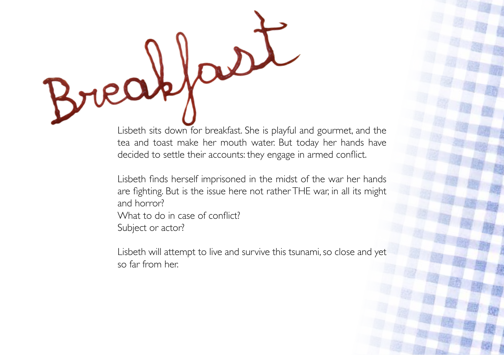

Lisbeth sits down for breakfast. She is playful and gourmet, and the tea and toast make her mouth water. But today her hands have decided to settle their accounts: they engage in armed conflict.

Lisbeth finds herself imprisoned in the midst of the war her hands are fighting. But is the issue here not rather THE war, in all its might and horror? What to do in case of conflict? Subject or actor?

Lisbeth will attempt to live and survive this tsunami, so close and yet so far from her.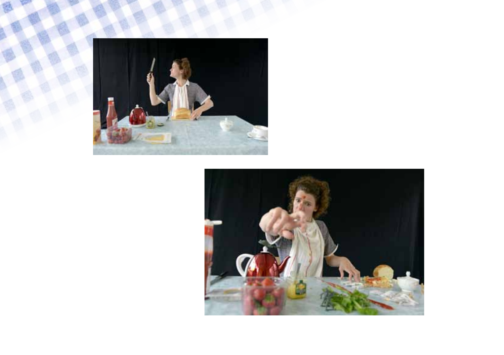

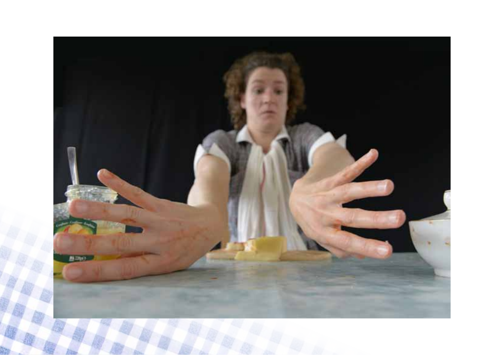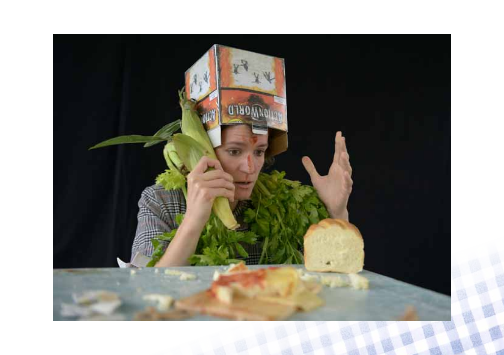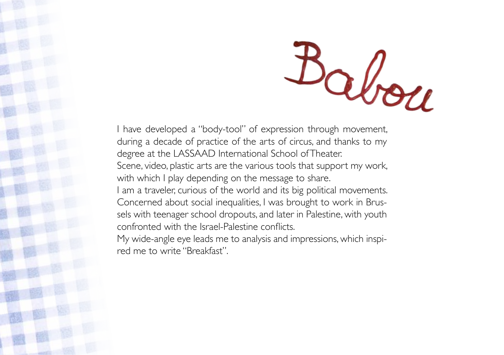

I have developed a "body-tool" of expression through movement, during a decade of practice of the arts of circus, and thanks to my degree at the LASSAAD International School of Theater. Scene, video, plastic arts are the various tools that support my work, with which I play depending on the message to share. I am a traveler, curious of the world and its big political movements. Concerned about social inequalities, I was brought to work in Brussels with teenager school dropouts, and later in Palestine, with youth confronted with the Israel-Palestine conflicts.

My wide-angle eye leads me to analysis and impressions, which inspired me to write "Breakfast".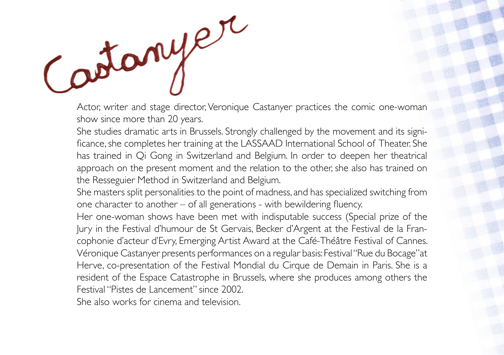Control actor, writer and stage director, Veronique Castanyer practices the comic one-woman

show since more than 20 years.

She studies dramatic arts in Brussels. Strongly challenged by the movement and its significance, she completes her training at the LASSAAD International School of Theater. She has trained in Qi Gong in Switzerland and Belgium. In order to deepen her theatrical approach on the present moment and the relation to the other, she also has trained on the Resseguier Method in Switzerland and Belgium.

She masters split personalities to the point of madness, and has specialized switching from one character to another – of all generations - with bewildering fluency.

Her one-woman shows have been met with indisputable success (Special prize of the Jury in the Festival d'humour de St Gervais, Becker d'Argent at the Festival de la Francophonie d'acteur d'Evry, Emerging Artist Award at the Café-Théâtre Festival of Cannes. Véronique Castanyer presents performances on a regular basis: Festival "Rue du Bocage"at Herve, co-presentation of the Festival Mondial du Cirque de Demain in Paris. She is a resident of the Espace Catastrophe in Brussels, where she produces among others the Festival "Pistes de Lancement" since 2002.

She also works for cinema and television.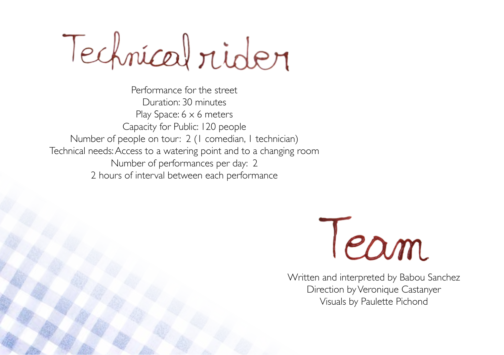Technical rider

Performance for the street Duration: 30 minutes Play Space:  $6 \times 6$  meters Capacity for Public: 120 people Number of people on tour: 2 (1 comedian, 1 technician) Technical needs: Access to a watering point and to a changing room Number of performances per day: 2 2 hours of interval between each performance



Written and interpreted by Babou Sanchez Direction by Veronique Castanyer Visuals by Paulette Pichond